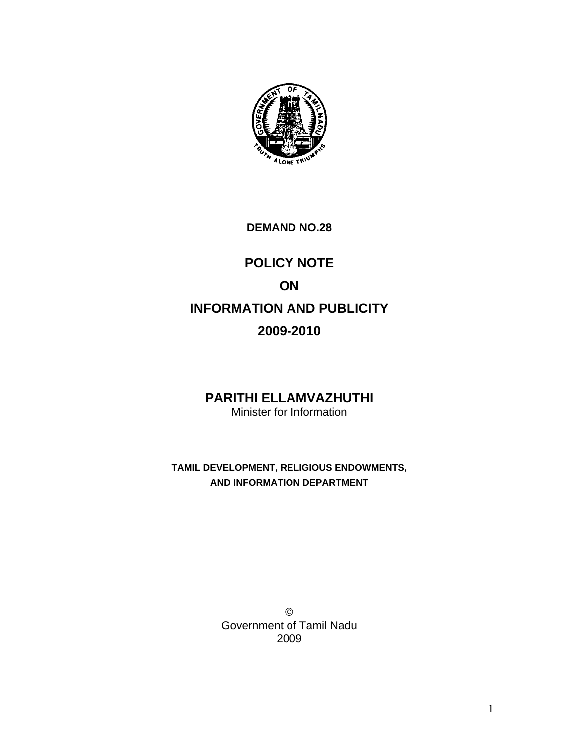

## **DEMAND NO.28**

# **POLICY NOTE ON INFORMATION AND PUBLICITY 2009-2010**

## **PARITHI ELLAMVAZHUTHI** Minister for Information

**TAMIL DEVELOPMENT, RELIGIOUS ENDOWMENTS, AND INFORMATION DEPARTMENT** 

> © Government of Tamil Nadu 2009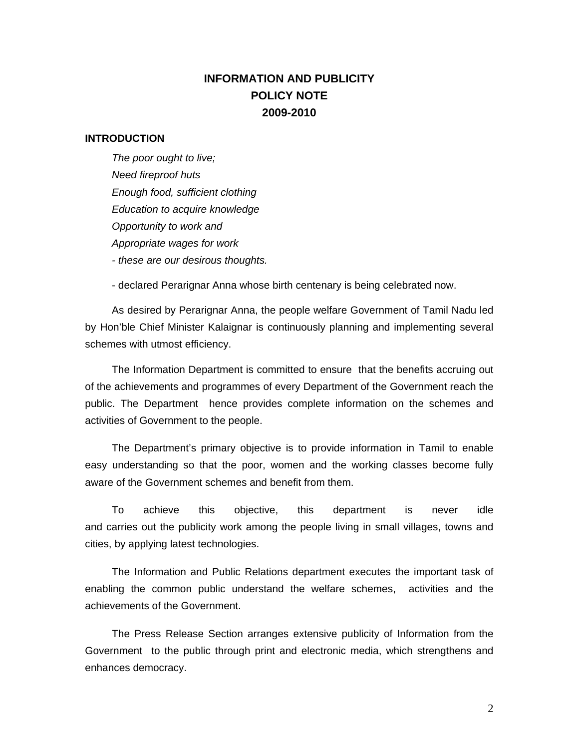## **INFORMATION AND PUBLICITY POLICY NOTE 2009-2010**

### **INTRODUCTION**

*The poor ought to live; Need fireproof huts Enough food, sufficient clothing Education to acquire knowledge Opportunity to work and Appropriate wages for work - these are our desirous thoughts.*

- declared Perarignar Anna whose birth centenary is being celebrated now.

As desired by Perarignar Anna, the people welfare Government of Tamil Nadu led by Hon'ble Chief Minister Kalaignar is continuously planning and implementing several schemes with utmost efficiency.

The Information Department is committed to ensure that the benefits accruing out of the achievements and programmes of every Department of the Government reach the public. The Department hence provides complete information on the schemes and activities of Government to the people.

The Department's primary objective is to provide information in Tamil to enable easy understanding so that the poor, women and the working classes become fully aware of the Government schemes and benefit from them.

To achieve this objective, this department is never idle and carries out the publicity work among the people living in small villages, towns and cities, by applying latest technologies.

The Information and Public Relations department executes the important task of enabling the common public understand the welfare schemes, activities and the achievements of the Government.

The Press Release Section arranges extensive publicity of Information from the Government to the public through print and electronic media, which strengthens and enhances democracy.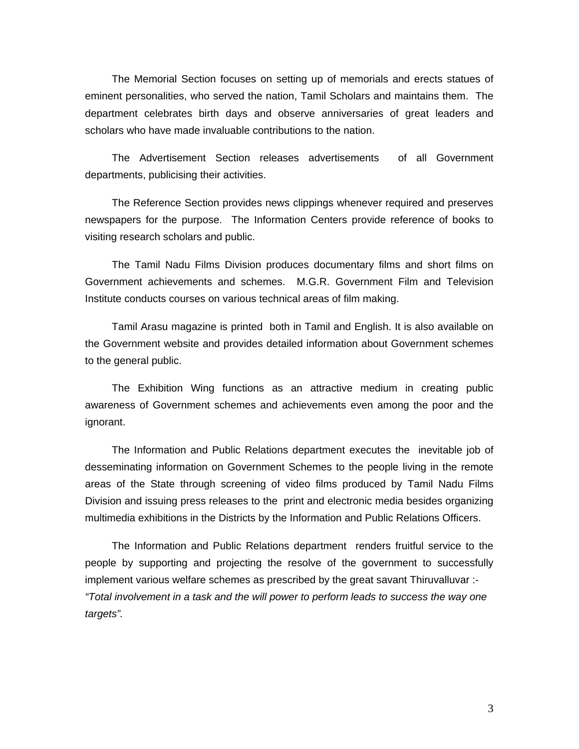The Memorial Section focuses on setting up of memorials and erects statues of eminent personalities, who served the nation, Tamil Scholars and maintains them. The department celebrates birth days and observe anniversaries of great leaders and scholars who have made invaluable contributions to the nation.

The Advertisement Section releases advertisements of all Government departments, publicising their activities.

The Reference Section provides news clippings whenever required and preserves newspapers for the purpose. The Information Centers provide reference of books to visiting research scholars and public.

The Tamil Nadu Films Division produces documentary films and short films on Government achievements and schemes. M.G.R. Government Film and Television Institute conducts courses on various technical areas of film making.

Tamil Arasu magazine is printed both in Tamil and English. It is also available on the Government website and provides detailed information about Government schemes to the general public.

The Exhibition Wing functions as an attractive medium in creating public awareness of Government schemes and achievements even among the poor and the ignorant.

The Information and Public Relations department executes the inevitable job of desseminating information on Government Schemes to the people living in the remote areas of the State through screening of video films produced by Tamil Nadu Films Division and issuing press releases to the print and electronic media besides organizing multimedia exhibitions in the Districts by the Information and Public Relations Officers.

The Information and Public Relations department renders fruitful service to the people by supporting and projecting the resolve of the government to successfully implement various welfare schemes as prescribed by the great savant Thiruvalluvar :- *"Total involvement in a task and the will power to perform leads to success the way one targets".*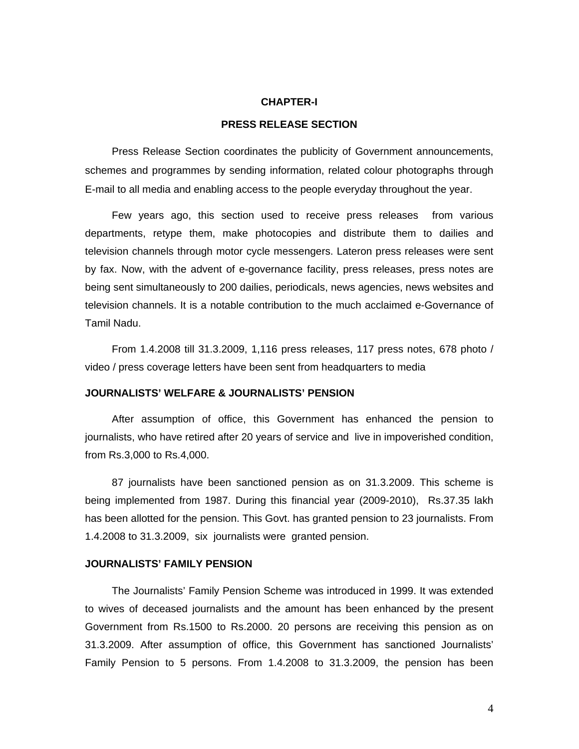#### **CHAPTER-I**

## **PRESS RELEASE SECTION**

Press Release Section coordinates the publicity of Government announcements, schemes and programmes by sending information, related colour photographs through E-mail to all media and enabling access to the people everyday throughout the year.

Few years ago, this section used to receive press releases from various departments, retype them, make photocopies and distribute them to dailies and television channels through motor cycle messengers. Lateron press releases were sent by fax. Now, with the advent of e-governance facility, press releases, press notes are being sent simultaneously to 200 dailies, periodicals, news agencies, news websites and television channels. It is a notable contribution to the much acclaimed e-Governance of Tamil Nadu.

From 1.4.2008 till 31.3.2009, 1,116 press releases, 117 press notes, 678 photo / video / press coverage letters have been sent from headquarters to media

#### **JOURNALISTS' WELFARE & JOURNALISTS' PENSION**

After assumption of office, this Government has enhanced the pension to journalists, who have retired after 20 years of service and live in impoverished condition, from Rs.3,000 to Rs.4,000.

87 journalists have been sanctioned pension as on 31.3.2009. This scheme is being implemented from 1987. During this financial year (2009-2010), Rs.37.35 lakh has been allotted for the pension. This Govt. has granted pension to 23 journalists. From 1.4.2008 to 31.3.2009, six journalists were granted pension.

### **JOURNALISTS' FAMILY PENSION**

The Journalists' Family Pension Scheme was introduced in 1999. It was extended to wives of deceased journalists and the amount has been enhanced by the present Government from Rs.1500 to Rs.2000. 20 persons are receiving this pension as on 31.3.2009. After assumption of office, this Government has sanctioned Journalists' Family Pension to 5 persons. From 1.4.2008 to 31.3.2009, the pension has been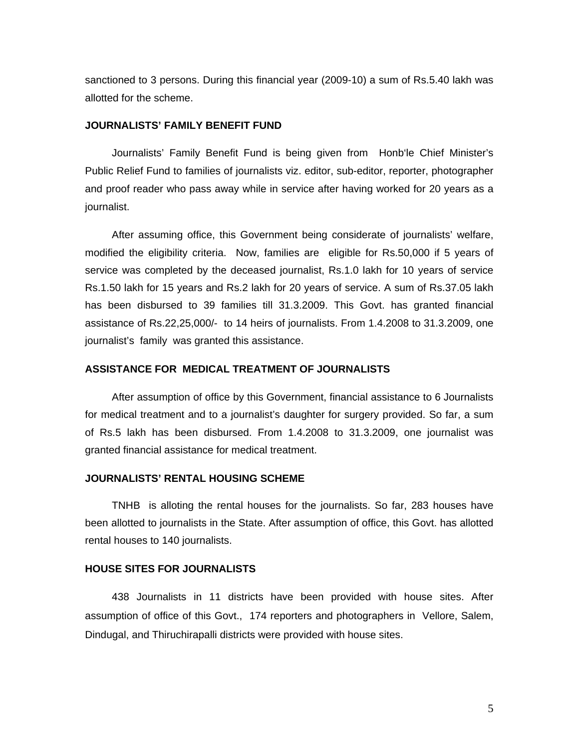sanctioned to 3 persons. During this financial year (2009-10) a sum of Rs.5.40 lakh was allotted for the scheme.

## **JOURNALISTS' FAMILY BENEFIT FUND**

Journalists' Family Benefit Fund is being given from Honb'le Chief Minister's Public Relief Fund to families of journalists viz. editor, sub-editor, reporter, photographer and proof reader who pass away while in service after having worked for 20 years as a journalist.

After assuming office, this Government being considerate of journalists' welfare, modified the eligibility criteria. Now, families are eligible for Rs.50,000 if 5 years of service was completed by the deceased journalist, Rs.1.0 lakh for 10 years of service Rs.1.50 lakh for 15 years and Rs.2 lakh for 20 years of service. A sum of Rs.37.05 lakh has been disbursed to 39 families till 31.3.2009. This Govt. has granted financial assistance of Rs.22,25,000/- to 14 heirs of journalists. From 1.4.2008 to 31.3.2009, one journalist's family was granted this assistance.

#### **ASSISTANCE FOR MEDICAL TREATMENT OF JOURNALISTS**

After assumption of office by this Government, financial assistance to 6 Journalists for medical treatment and to a journalist's daughter for surgery provided. So far, a sum of Rs.5 lakh has been disbursed. From 1.4.2008 to 31.3.2009, one journalist was granted financial assistance for medical treatment.

### **JOURNALISTS' RENTAL HOUSING SCHEME**

TNHB is alloting the rental houses for the journalists. So far, 283 houses have been allotted to journalists in the State. After assumption of office, this Govt. has allotted rental houses to 140 journalists.

#### **HOUSE SITES FOR JOURNALISTS**

438 Journalists in 11 districts have been provided with house sites. After assumption of office of this Govt., 174 reporters and photographers in Vellore, Salem, Dindugal, and Thiruchirapalli districts were provided with house sites.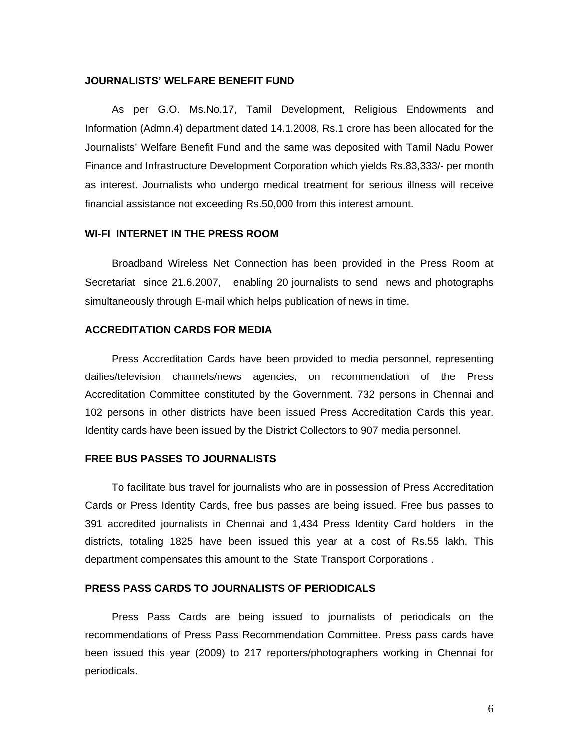#### **JOURNALISTS' WELFARE BENEFIT FUND**

As per G.O. Ms.No.17, Tamil Development, Religious Endowments and Information (Admn.4) department dated 14.1.2008, Rs.1 crore has been allocated for the Journalists' Welfare Benefit Fund and the same was deposited with Tamil Nadu Power Finance and Infrastructure Development Corporation which yields Rs.83,333/- per month as interest. Journalists who undergo medical treatment for serious illness will receive financial assistance not exceeding Rs.50,000 from this interest amount.

#### **WI-FI INTERNET IN THE PRESS ROOM**

Broadband Wireless Net Connection has been provided in the Press Room at Secretariat since 21.6.2007, enabling 20 journalists to send news and photographs simultaneously through E-mail which helps publication of news in time.

## **ACCREDITATION CARDS FOR MEDIA**

Press Accreditation Cards have been provided to media personnel, representing dailies/television channels/news agencies, on recommendation of the Press Accreditation Committee constituted by the Government. 732 persons in Chennai and 102 persons in other districts have been issued Press Accreditation Cards this year. Identity cards have been issued by the District Collectors to 907 media personnel.

#### **FREE BUS PASSES TO JOURNALISTS**

To facilitate bus travel for journalists who are in possession of Press Accreditation Cards or Press Identity Cards, free bus passes are being issued. Free bus passes to 391 accredited journalists in Chennai and 1,434 Press Identity Card holders in the districts, totaling 1825 have been issued this year at a cost of Rs.55 lakh. This department compensates this amount to the State Transport Corporations .

#### **PRESS PASS CARDS TO JOURNALISTS OF PERIODICALS**

Press Pass Cards are being issued to journalists of periodicals on the recommendations of Press Pass Recommendation Committee. Press pass cards have been issued this year (2009) to 217 reporters/photographers working in Chennai for periodicals.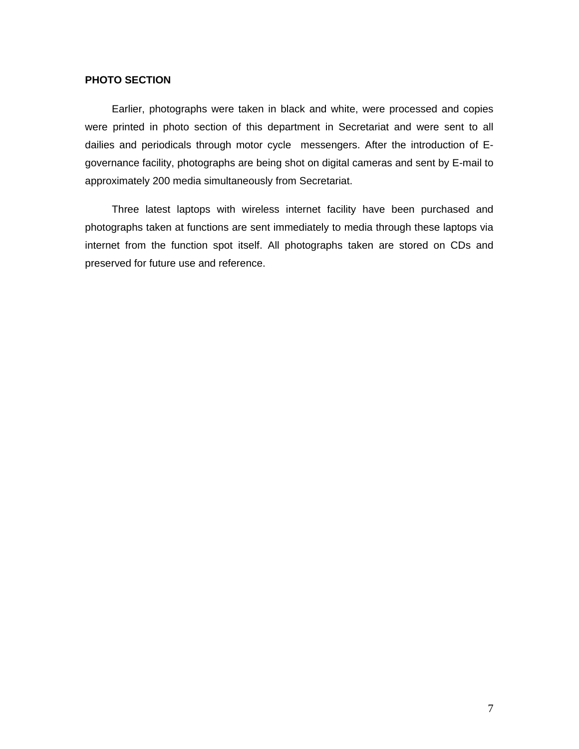## **PHOTO SECTION**

Earlier, photographs were taken in black and white, were processed and copies were printed in photo section of this department in Secretariat and were sent to all dailies and periodicals through motor cycle messengers. After the introduction of Egovernance facility, photographs are being shot on digital cameras and sent by E-mail to approximately 200 media simultaneously from Secretariat.

Three latest laptops with wireless internet facility have been purchased and photographs taken at functions are sent immediately to media through these laptops via internet from the function spot itself. All photographs taken are stored on CDs and preserved for future use and reference.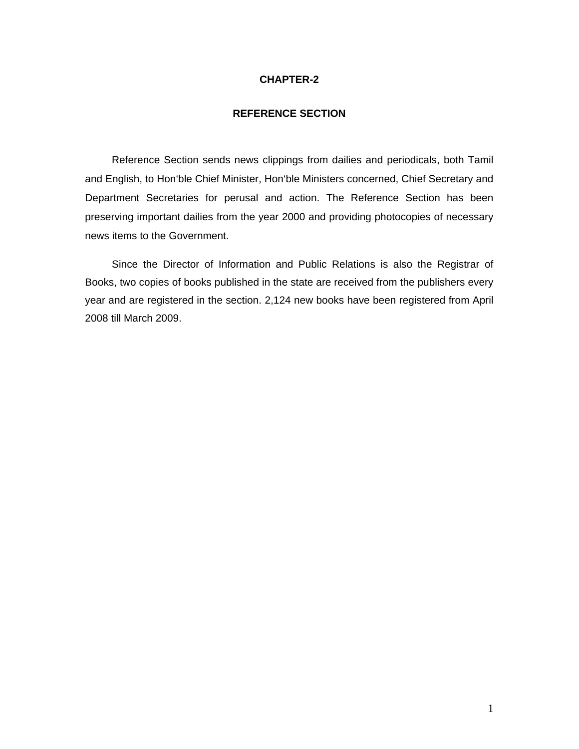### **CHAPTER-2**

#### **REFERENCE SECTION**

Reference Section sends news clippings from dailies and periodicals, both Tamil and English, to Hon'ble Chief Minister, Hon'ble Ministers concerned, Chief Secretary and Department Secretaries for perusal and action. The Reference Section has been preserving important dailies from the year 2000 and providing photocopies of necessary news items to the Government.

Since the Director of Information and Public Relations is also the Registrar of Books, two copies of books published in the state are received from the publishers every year and are registered in the section. 2,124 new books have been registered from April 2008 till March 2009.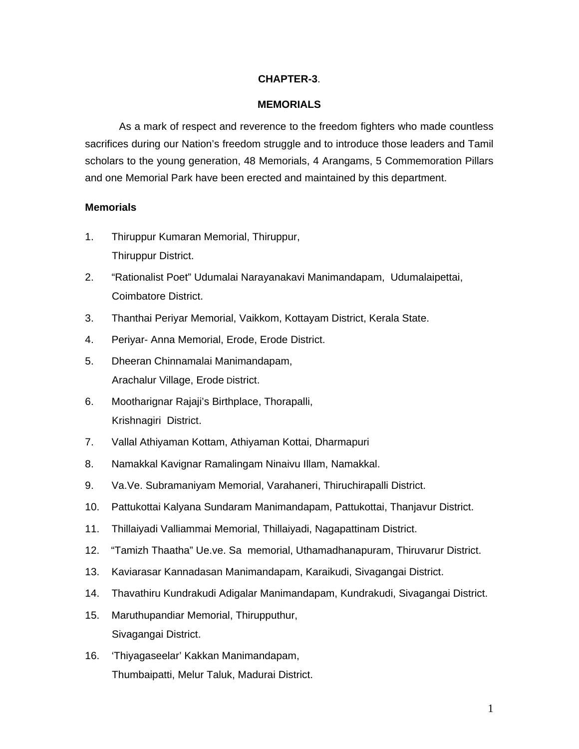## **CHAPTER-3**.

## **MEMORIALS**

 As a mark of respect and reverence to the freedom fighters who made countless sacrifices during our Nation's freedom struggle and to introduce those leaders and Tamil scholars to the young generation, 48 Memorials, 4 Arangams, 5 Commemoration Pillars and one Memorial Park have been erected and maintained by this department.

## **Memorials**

- 1. Thiruppur Kumaran Memorial, Thiruppur, Thiruppur District.
- 2. "Rationalist Poet" Udumalai Narayanakavi Manimandapam, Udumalaipettai, Coimbatore District.
- 3. Thanthai Periyar Memorial, Vaikkom, Kottayam District, Kerala State.
- 4. Periyar- Anna Memorial, Erode, Erode District.
- 5. Dheeran Chinnamalai Manimandapam, Arachalur Village, Erode District.
- 6. Mootharignar Rajaji's Birthplace, Thorapalli, Krishnagiri District.
- 7. Vallal Athiyaman Kottam, Athiyaman Kottai, Dharmapuri
- 8. Namakkal Kavignar Ramalingam Ninaivu Illam, Namakkal.
- 9. Va.Ve. Subramaniyam Memorial, Varahaneri, Thiruchirapalli District.
- 10. Pattukottai Kalyana Sundaram Manimandapam, Pattukottai, Thanjavur District.
- 11. Thillaiyadi Valliammai Memorial, Thillaiyadi, Nagapattinam District.
- 12. "Tamizh Thaatha" Ue.ve. Sa memorial, Uthamadhanapuram, Thiruvarur District.
- 13. Kaviarasar Kannadasan Manimandapam, Karaikudi, Sivagangai District.
- 14. Thavathiru Kundrakudi Adigalar Manimandapam, Kundrakudi, Sivagangai District.
- 15. Maruthupandiar Memorial, Thirupputhur, Sivagangai District.
- 16. 'Thiyagaseelar' Kakkan Manimandapam, Thumbaipatti, Melur Taluk, Madurai District.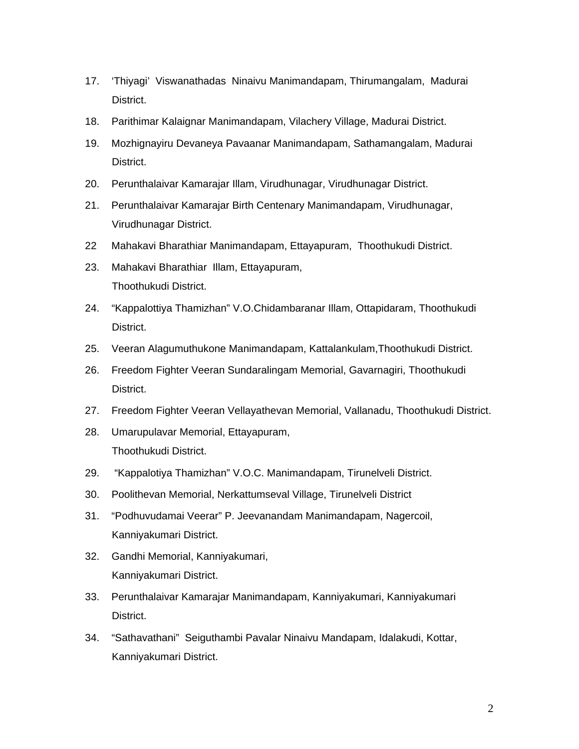- 17. 'Thiyagi' Viswanathadas Ninaivu Manimandapam, Thirumangalam, Madurai District.
- 18. Parithimar Kalaignar Manimandapam, Vilachery Village, Madurai District.
- 19. Mozhignayiru Devaneya Pavaanar Manimandapam, Sathamangalam, Madurai District.
- 20. Perunthalaivar Kamarajar Illam, Virudhunagar, Virudhunagar District.
- 21. Perunthalaivar Kamarajar Birth Centenary Manimandapam, Virudhunagar, Virudhunagar District.
- 22 Mahakavi Bharathiar Manimandapam, Ettayapuram, Thoothukudi District.
- 23. Mahakavi Bharathiar Illam, Ettayapuram, Thoothukudi District.
- 24. "Kappalottiya Thamizhan" V.O.Chidambaranar Illam, Ottapidaram, Thoothukudi District.
- 25. Veeran Alagumuthukone Manimandapam, Kattalankulam,Thoothukudi District.
- 26. Freedom Fighter Veeran Sundaralingam Memorial, Gavarnagiri, Thoothukudi District.
- 27. Freedom Fighter Veeran Vellayathevan Memorial, Vallanadu, Thoothukudi District.
- 28. Umarupulavar Memorial, Ettayapuram, Thoothukudi District.
- 29. "Kappalotiya Thamizhan" V.O.C. Manimandapam, Tirunelveli District.
- 30. Poolithevan Memorial, Nerkattumseval Village, Tirunelveli District
- 31. "Podhuvudamai Veerar" P. Jeevanandam Manimandapam, Nagercoil, Kanniyakumari District.
- 32. Gandhi Memorial, Kanniyakumari, Kanniyakumari District.
- 33. Perunthalaivar Kamarajar Manimandapam, Kanniyakumari, Kanniyakumari District.
- 34. "Sathavathani" Seiguthambi Pavalar Ninaivu Mandapam, Idalakudi, Kottar, Kanniyakumari District.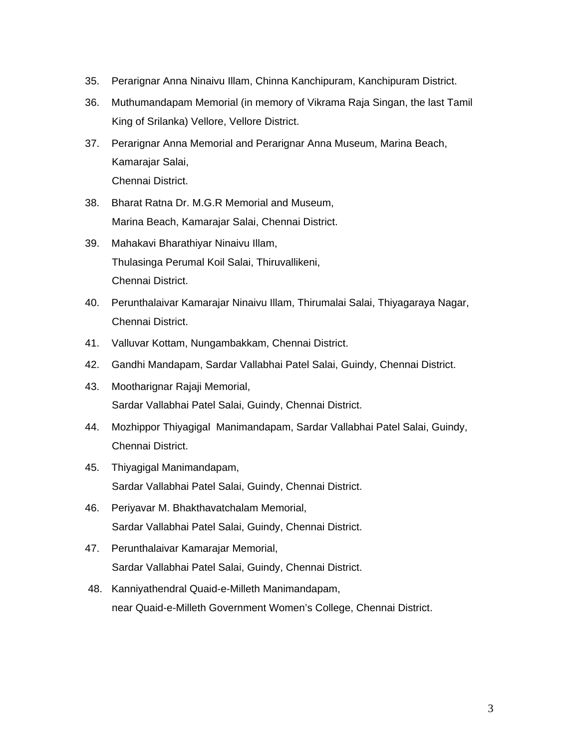- 35. Perarignar Anna Ninaivu Illam, Chinna Kanchipuram, Kanchipuram District.
- 36. Muthumandapam Memorial (in memory of Vikrama Raja Singan, the last Tamil King of Srilanka) Vellore, Vellore District.
- 37. Perarignar Anna Memorial and Perarignar Anna Museum, Marina Beach, Kamarajar Salai, Chennai District.
- 38. Bharat Ratna Dr. M.G.R Memorial and Museum, Marina Beach, Kamarajar Salai, Chennai District.
- 39. Mahakavi Bharathiyar Ninaivu Illam, Thulasinga Perumal Koil Salai, Thiruvallikeni, Chennai District.
- 40. Perunthalaivar Kamarajar Ninaivu Illam, Thirumalai Salai, Thiyagaraya Nagar, Chennai District.
- 41. Valluvar Kottam, Nungambakkam, Chennai District.
- 42. Gandhi Mandapam, Sardar Vallabhai Patel Salai, Guindy, Chennai District.
- 43. Mootharignar Rajaji Memorial, Sardar Vallabhai Patel Salai, Guindy, Chennai District.
- 44. Mozhippor Thiyagigal Manimandapam, Sardar Vallabhai Patel Salai, Guindy, Chennai District.
- 45. Thiyagigal Manimandapam, Sardar Vallabhai Patel Salai, Guindy, Chennai District.
- 46. Periyavar M. Bhakthavatchalam Memorial, Sardar Vallabhai Patel Salai, Guindy, Chennai District.
- 47. Perunthalaivar Kamarajar Memorial, Sardar Vallabhai Patel Salai, Guindy, Chennai District.
- 48. Kanniyathendral Quaid-e-Milleth Manimandapam, near Quaid-e-Milleth Government Women's College, Chennai District.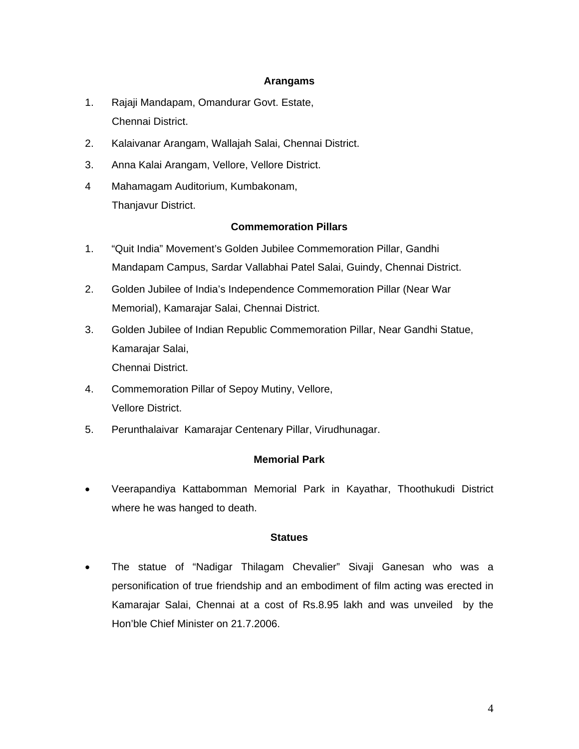## **Arangams**

- 1. Rajaji Mandapam, Omandurar Govt. Estate, Chennai District.
- 2. Kalaivanar Arangam, Wallajah Salai, Chennai District.
- 3. Anna Kalai Arangam, Vellore, Vellore District.
- 4 Mahamagam Auditorium, Kumbakonam, Thanjavur District.

## **Commemoration Pillars**

- 1. "Quit India" Movement's Golden Jubilee Commemoration Pillar, Gandhi Mandapam Campus, Sardar Vallabhai Patel Salai, Guindy, Chennai District.
- 2. Golden Jubilee of India's Independence Commemoration Pillar (Near War Memorial), Kamarajar Salai, Chennai District.
- 3. Golden Jubilee of Indian Republic Commemoration Pillar, Near Gandhi Statue, Kamarajar Salai, Chennai District.
- 4. Commemoration Pillar of Sepoy Mutiny, Vellore, Vellore District.
- 5. Perunthalaivar Kamarajar Centenary Pillar, Virudhunagar.

## **Memorial Park**

• Veerapandiya Kattabomman Memorial Park in Kayathar, Thoothukudi District where he was hanged to death.

#### **Statues**

• The statue of "Nadigar Thilagam Chevalier" Sivaji Ganesan who was a personification of true friendship and an embodiment of film acting was erected in Kamarajar Salai, Chennai at a cost of Rs.8.95 lakh and was unveiled by the Hon'ble Chief Minister on 21.7.2006.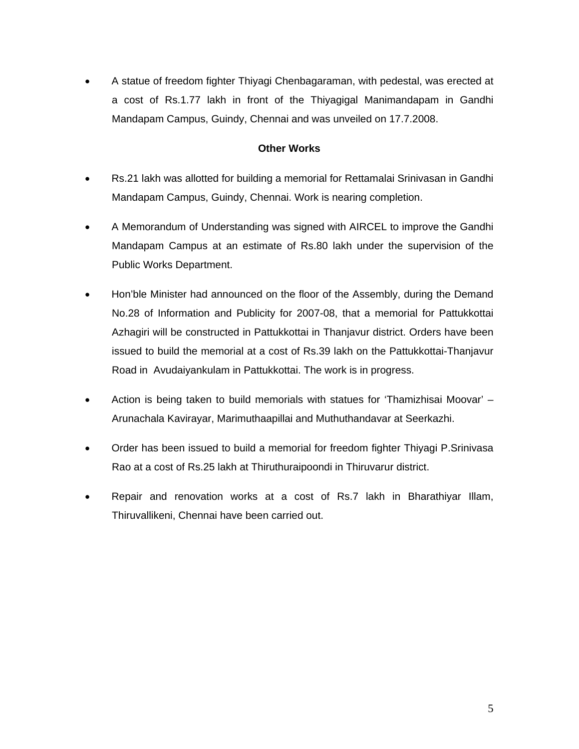• A statue of freedom fighter Thiyagi Chenbagaraman, with pedestal, was erected at a cost of Rs.1.77 lakh in front of the Thiyagigal Manimandapam in Gandhi Mandapam Campus, Guindy, Chennai and was unveiled on 17.7.2008.

## **Other Works**

- Rs.21 lakh was allotted for building a memorial for Rettamalai Srinivasan in Gandhi Mandapam Campus, Guindy, Chennai. Work is nearing completion.
- A Memorandum of Understanding was signed with AIRCEL to improve the Gandhi Mandapam Campus at an estimate of Rs.80 lakh under the supervision of the Public Works Department.
- Hon'ble Minister had announced on the floor of the Assembly, during the Demand No.28 of Information and Publicity for 2007-08, that a memorial for Pattukkottai Azhagiri will be constructed in Pattukkottai in Thanjavur district. Orders have been issued to build the memorial at a cost of Rs.39 lakh on the Pattukkottai-Thanjavur Road in Avudaiyankulam in Pattukkottai. The work is in progress.
- Action is being taken to build memorials with statues for 'Thamizhisai Moovar' Arunachala Kavirayar, Marimuthaapillai and Muthuthandavar at Seerkazhi.
- Order has been issued to build a memorial for freedom fighter Thiyagi P.Srinivasa Rao at a cost of Rs.25 lakh at Thiruthuraipoondi in Thiruvarur district.
- Repair and renovation works at a cost of Rs.7 lakh in Bharathiyar Illam, Thiruvallikeni, Chennai have been carried out.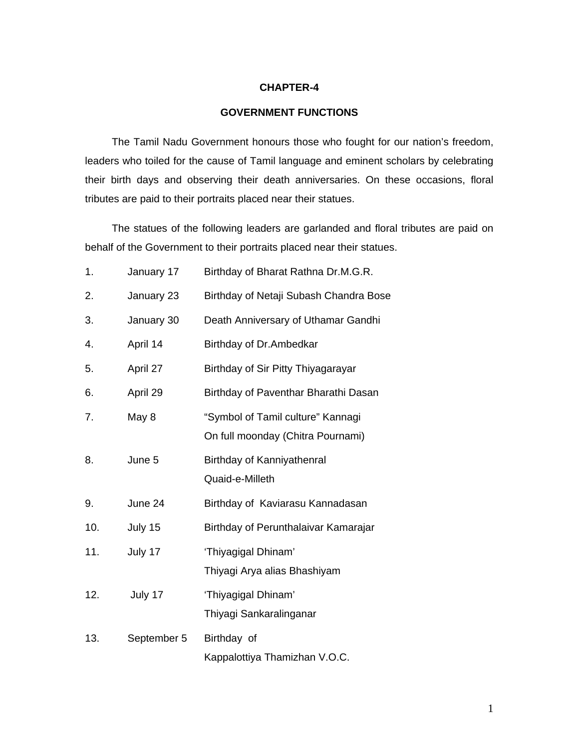### **CHAPTER-4**

## **GOVERNMENT FUNCTIONS**

The Tamil Nadu Government honours those who fought for our nation's freedom, leaders who toiled for the cause of Tamil language and eminent scholars by celebrating their birth days and observing their death anniversaries. On these occasions, floral tributes are paid to their portraits placed near their statues.

The statues of the following leaders are garlanded and floral tributes are paid on behalf of the Government to their portraits placed near their statues.

| 1.  | January 17  | Birthday of Bharat Rathna Dr.M.G.R.                                    |
|-----|-------------|------------------------------------------------------------------------|
| 2.  | January 23  | Birthday of Netaji Subash Chandra Bose                                 |
| 3.  | January 30  | Death Anniversary of Uthamar Gandhi                                    |
| 4.  | April 14    | Birthday of Dr. Ambedkar                                               |
| 5.  | April 27    | Birthday of Sir Pitty Thiyagarayar                                     |
| 6.  | April 29    | Birthday of Paventhar Bharathi Dasan                                   |
| 7.  | May 8       | "Symbol of Tamil culture" Kannagi<br>On full moonday (Chitra Pournami) |
| 8.  | June 5      | Birthday of Kanniyathenral<br>Quaid-e-Milleth                          |
| 9.  | June 24     | Birthday of Kaviarasu Kannadasan                                       |
| 10. | July 15     | Birthday of Perunthalaivar Kamarajar                                   |
| 11. | July 17     | 'Thiyagigal Dhinam'<br>Thiyagi Arya alias Bhashiyam                    |
| 12. | July 17     | 'Thiyagigal Dhinam'<br>Thiyagi Sankaralinganar                         |
| 13. | September 5 | Birthday of<br>Kappalottiya Thamizhan V.O.C.                           |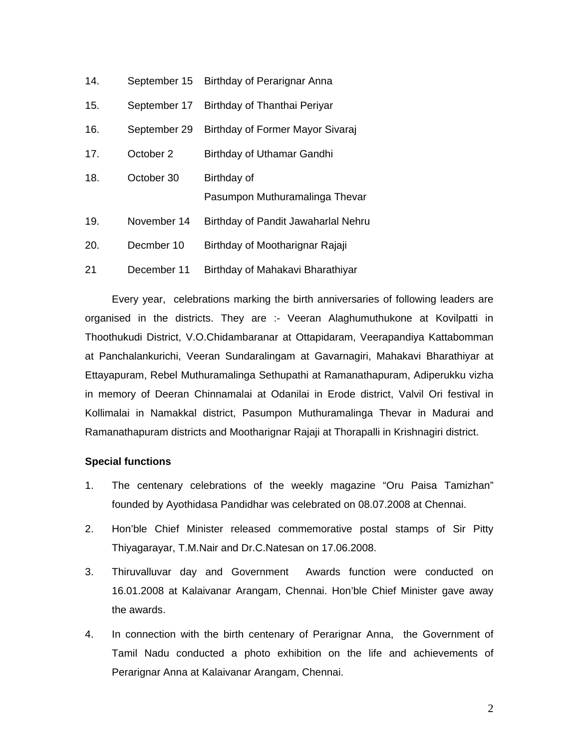| 14. | September 15 | Birthday of Perarignar Anna         |
|-----|--------------|-------------------------------------|
| 15. | September 17 | Birthday of Thanthai Periyar        |
| 16. | September 29 | Birthday of Former Mayor Sivaraj    |
| 17. | October 2    | Birthday of Uthamar Gandhi          |
| 18. | October 30   | Birthday of                         |
|     |              | Pasumpon Muthuramalinga Thevar      |
| 19. | November 14  | Birthday of Pandit Jawaharlal Nehru |
| 20. | Decmber 10   | Birthday of Mootharignar Rajaji     |
| 21  | December 11  | Birthday of Mahakavi Bharathiyar    |

Every year, celebrations marking the birth anniversaries of following leaders are organised in the districts. They are :- Veeran Alaghumuthukone at Kovilpatti in Thoothukudi District, V.O.Chidambaranar at Ottapidaram, Veerapandiya Kattabomman at Panchalankurichi, Veeran Sundaralingam at Gavarnagiri, Mahakavi Bharathiyar at Ettayapuram, Rebel Muthuramalinga Sethupathi at Ramanathapuram, Adiperukku vizha in memory of Deeran Chinnamalai at Odanilai in Erode district, Valvil Ori festival in Kollimalai in Namakkal district, Pasumpon Muthuramalinga Thevar in Madurai and Ramanathapuram districts and Mootharignar Rajaji at Thorapalli in Krishnagiri district.

#### **Special functions**

- 1. The centenary celebrations of the weekly magazine "Oru Paisa Tamizhan" founded by Ayothidasa Pandidhar was celebrated on 08.07.2008 at Chennai.
- 2. Hon'ble Chief Minister released commemorative postal stamps of Sir Pitty Thiyagarayar, T.M.Nair and Dr.C.Natesan on 17.06.2008.
- 3. Thiruvalluvar day and Government Awards function were conducted on 16.01.2008 at Kalaivanar Arangam, Chennai. Hon'ble Chief Minister gave away the awards.
- 4. In connection with the birth centenary of Perarignar Anna, the Government of Tamil Nadu conducted a photo exhibition on the life and achievements of Perarignar Anna at Kalaivanar Arangam, Chennai.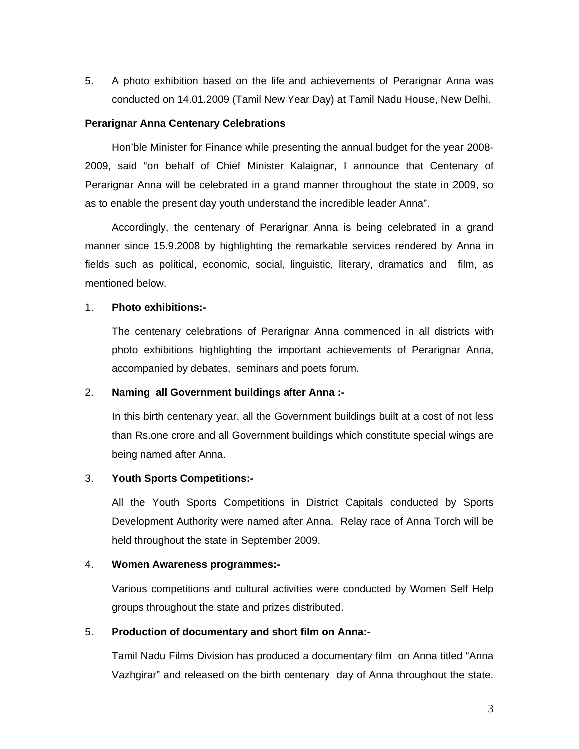5. A photo exhibition based on the life and achievements of Perarignar Anna was conducted on 14.01.2009 (Tamil New Year Day) at Tamil Nadu House, New Delhi.

#### **Perarignar Anna Centenary Celebrations**

Hon'ble Minister for Finance while presenting the annual budget for the year 2008- 2009, said "on behalf of Chief Minister Kalaignar, I announce that Centenary of Perarignar Anna will be celebrated in a grand manner throughout the state in 2009, so as to enable the present day youth understand the incredible leader Anna".

Accordingly, the centenary of Perarignar Anna is being celebrated in a grand manner since 15.9.2008 by highlighting the remarkable services rendered by Anna in fields such as political, economic, social, linguistic, literary, dramatics and film, as mentioned below.

#### 1. **Photo exhibitions:-**

 The centenary celebrations of Perarignar Anna commenced in all districts with photo exhibitions highlighting the important achievements of Perarignar Anna, accompanied by debates, seminars and poets forum.

## 2. **Naming all Government buildings after Anna :-**

 In this birth centenary year, all the Government buildings built at a cost of not less than Rs.one crore and all Government buildings which constitute special wings are being named after Anna.

### 3. **Youth Sports Competitions:-**

 All the Youth Sports Competitions in District Capitals conducted by Sports Development Authority were named after Anna. Relay race of Anna Torch will be held throughout the state in September 2009.

#### 4. **Women Awareness programmes:-**

 Various competitions and cultural activities were conducted by Women Self Help groups throughout the state and prizes distributed.

#### 5. **Production of documentary and short film on Anna:-**

 Tamil Nadu Films Division has produced a documentary film on Anna titled "Anna Vazhgirar" and released on the birth centenary day of Anna throughout the state.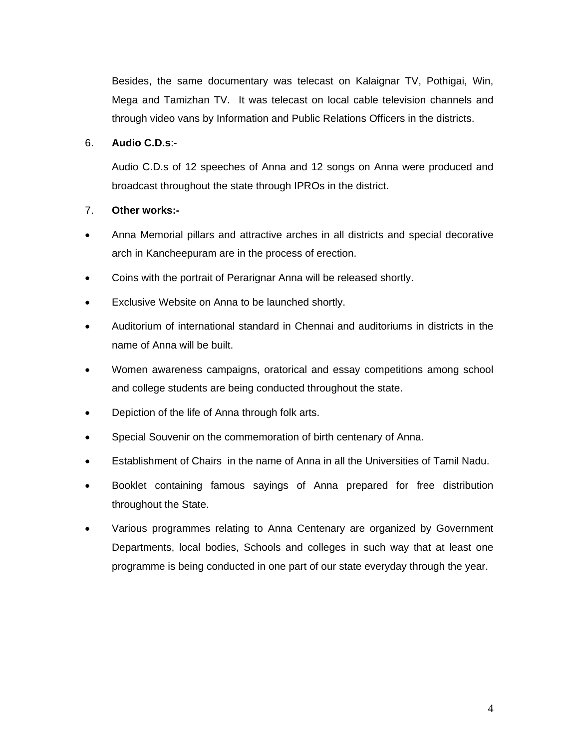Besides, the same documentary was telecast on Kalaignar TV, Pothigai, Win, Mega and Tamizhan TV. It was telecast on local cable television channels and through video vans by Information and Public Relations Officers in the districts.

## 6. **Audio C.D.s**:-

 Audio C.D.s of 12 speeches of Anna and 12 songs on Anna were produced and broadcast throughout the state through IPROs in the district.

## 7. **Other works:-**

- Anna Memorial pillars and attractive arches in all districts and special decorative arch in Kancheepuram are in the process of erection.
- Coins with the portrait of Perarignar Anna will be released shortly.
- Exclusive Website on Anna to be launched shortly.
- Auditorium of international standard in Chennai and auditoriums in districts in the name of Anna will be built.
- Women awareness campaigns, oratorical and essay competitions among school and college students are being conducted throughout the state.
- Depiction of the life of Anna through folk arts.
- Special Souvenir on the commemoration of birth centenary of Anna.
- Establishment of Chairs in the name of Anna in all the Universities of Tamil Nadu.
- Booklet containing famous sayings of Anna prepared for free distribution throughout the State.
- Various programmes relating to Anna Centenary are organized by Government Departments, local bodies, Schools and colleges in such way that at least one programme is being conducted in one part of our state everyday through the year.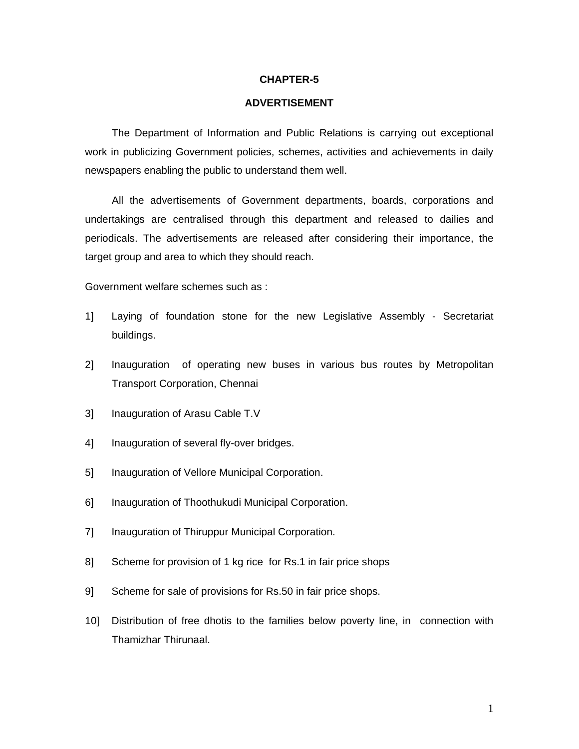#### **CHAPTER-5**

#### **ADVERTISEMENT**

The Department of Information and Public Relations is carrying out exceptional work in publicizing Government policies, schemes, activities and achievements in daily newspapers enabling the public to understand them well.

All the advertisements of Government departments, boards, corporations and undertakings are centralised through this department and released to dailies and periodicals. The advertisements are released after considering their importance, the target group and area to which they should reach.

Government welfare schemes such as :

- 1] Laying of foundation stone for the new Legislative Assembly Secretariat buildings.
- 2] Inauguration of operating new buses in various bus routes by Metropolitan Transport Corporation, Chennai
- 3] Inauguration of Arasu Cable T.V
- 4] Inauguration of several fly-over bridges.
- 5] Inauguration of Vellore Municipal Corporation.
- 6] Inauguration of Thoothukudi Municipal Corporation.
- 7] Inauguration of Thiruppur Municipal Corporation.
- 8] Scheme for provision of 1 kg rice for Rs.1 in fair price shops
- 9] Scheme for sale of provisions for Rs.50 in fair price shops.
- 10] Distribution of free dhotis to the families below poverty line, in connection with Thamizhar Thirunaal.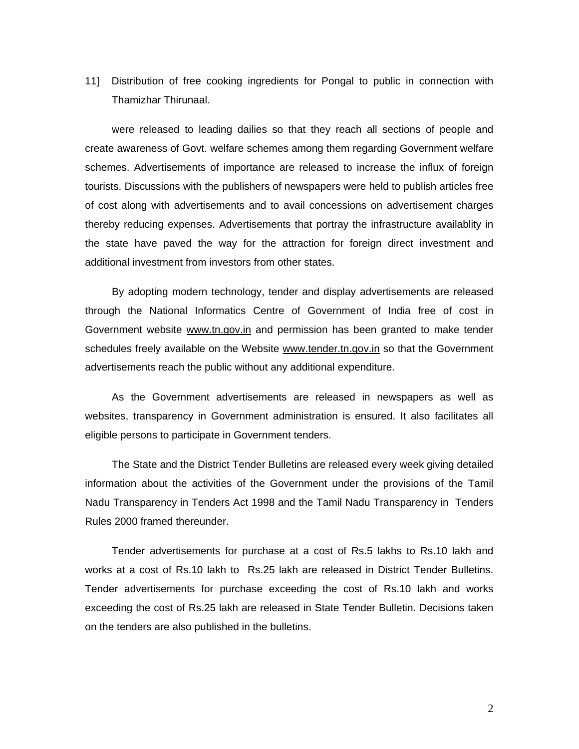11] Distribution of free cooking ingredients for Pongal to public in connection with Thamizhar Thirunaal.

were released to leading dailies so that they reach all sections of people and create awareness of Govt. welfare schemes among them regarding Government welfare schemes. Advertisements of importance are released to increase the influx of foreign tourists. Discussions with the publishers of newspapers were held to publish articles free of cost along with advertisements and to avail concessions on advertisement charges thereby reducing expenses. Advertisements that portray the infrastructure availablity in the state have paved the way for the attraction for foreign direct investment and additional investment from investors from other states.

By adopting modern technology, tender and display advertisements are released through the National Informatics Centre of Government of India free of cost in Government website www.tn.gov.in and permission has been granted to make tender schedules freely available on the Website www.tender.tn.gov.in so that the Government advertisements reach the public without any additional expenditure.

As the Government advertisements are released in newspapers as well as websites, transparency in Government administration is ensured. It also facilitates all eligible persons to participate in Government tenders.

The State and the District Tender Bulletins are released every week giving detailed information about the activities of the Government under the provisions of the Tamil Nadu Transparency in Tenders Act 1998 and the Tamil Nadu Transparency in Tenders Rules 2000 framed thereunder.

Tender advertisements for purchase at a cost of Rs.5 lakhs to Rs.10 lakh and works at a cost of Rs.10 lakh to Rs.25 lakh are released in District Tender Bulletins. Tender advertisements for purchase exceeding the cost of Rs.10 lakh and works exceeding the cost of Rs.25 lakh are released in State Tender Bulletin. Decisions taken on the tenders are also published in the bulletins.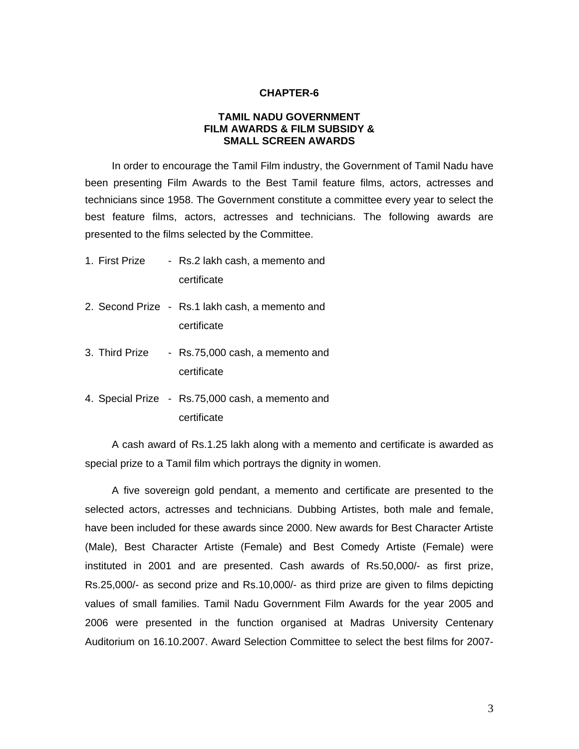#### **CHAPTER-6**

## **TAMIL NADU GOVERNMENT FILM AWARDS & FILM SUBSIDY & SMALL SCREEN AWARDS**

In order to encourage the Tamil Film industry, the Government of Tamil Nadu have been presenting Film Awards to the Best Tamil feature films, actors, actresses and technicians since 1958. The Government constitute a committee every year to select the best feature films, actors, actresses and technicians. The following awards are presented to the films selected by the Committee.

- 1. First Prize Rs.2 lakh cash, a memento and certificate
- 2. Second Prize Rs.1 lakh cash, a memento and certificate
- 3. Third Prize Rs.75,000 cash, a memento and certificate
- 4. Special Prize Rs.75,000 cash, a memento and certificate

A cash award of Rs.1.25 lakh along with a memento and certificate is awarded as special prize to a Tamil film which portrays the dignity in women.

A five sovereign gold pendant, a memento and certificate are presented to the selected actors, actresses and technicians. Dubbing Artistes, both male and female, have been included for these awards since 2000. New awards for Best Character Artiste (Male), Best Character Artiste (Female) and Best Comedy Artiste (Female) were instituted in 2001 and are presented. Cash awards of Rs.50,000/- as first prize, Rs.25,000/- as second prize and Rs.10,000/- as third prize are given to films depicting values of small families. Tamil Nadu Government Film Awards for the year 2005 and 2006 were presented in the function organised at Madras University Centenary Auditorium on 16.10.2007. Award Selection Committee to select the best films for 2007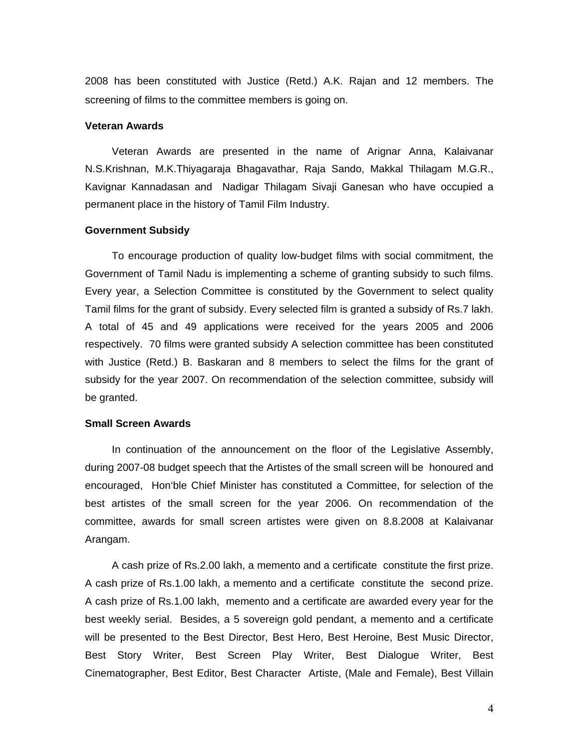2008 has been constituted with Justice (Retd.) A.K. Rajan and 12 members. The screening of films to the committee members is going on.

#### **Veteran Awards**

Veteran Awards are presented in the name of Arignar Anna, Kalaivanar N.S.Krishnan, M.K.Thiyagaraja Bhagavathar, Raja Sando, Makkal Thilagam M.G.R., Kavignar Kannadasan and Nadigar Thilagam Sivaji Ganesan who have occupied a permanent place in the history of Tamil Film Industry.

#### **Government Subsidy**

To encourage production of quality low-budget films with social commitment, the Government of Tamil Nadu is implementing a scheme of granting subsidy to such films. Every year, a Selection Committee is constituted by the Government to select quality Tamil films for the grant of subsidy. Every selected film is granted a subsidy of Rs.7 lakh. A total of 45 and 49 applications were received for the years 2005 and 2006 respectively. 70 films were granted subsidy A selection committee has been constituted with Justice (Retd.) B. Baskaran and 8 members to select the films for the grant of subsidy for the year 2007. On recommendation of the selection committee, subsidy will be granted.

#### **Small Screen Awards**

In continuation of the announcement on the floor of the Legislative Assembly, during 2007-08 budget speech that the Artistes of the small screen will be honoured and encouraged, Hon'ble Chief Minister has constituted a Committee, for selection of the best artistes of the small screen for the year 2006. On recommendation of the committee, awards for small screen artistes were given on 8.8.2008 at Kalaivanar Arangam.

A cash prize of Rs.2.00 lakh, a memento and a certificate constitute the first prize. A cash prize of Rs.1.00 lakh, a memento and a certificate constitute the second prize. A cash prize of Rs.1.00 lakh, memento and a certificate are awarded every year for the best weekly serial. Besides, a 5 sovereign gold pendant, a memento and a certificate will be presented to the Best Director, Best Hero, Best Heroine, Best Music Director, Best Story Writer, Best Screen Play Writer, Best Dialogue Writer, Best Cinematographer, Best Editor, Best Character Artiste, (Male and Female), Best Villain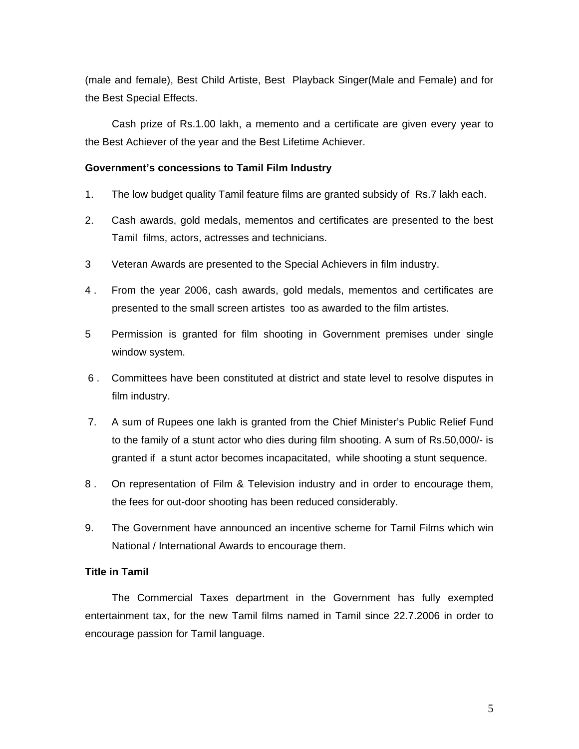(male and female), Best Child Artiste, Best Playback Singer(Male and Female) and for the Best Special Effects.

Cash prize of Rs.1.00 lakh, a memento and a certificate are given every year to the Best Achiever of the year and the Best Lifetime Achiever.

### **Government's concessions to Tamil Film Industry**

- 1. The low budget quality Tamil feature films are granted subsidy of Rs.7 lakh each.
- 2. Cash awards, gold medals, mementos and certificates are presented to the best Tamil films, actors, actresses and technicians.
- 3 Veteran Awards are presented to the Special Achievers in film industry.
- 4 . From the year 2006, cash awards, gold medals, mementos and certificates are presented to the small screen artistes too as awarded to the film artistes.
- 5 Permission is granted for film shooting in Government premises under single window system.
- 6 . Committees have been constituted at district and state level to resolve disputes in film industry.
- 7. A sum of Rupees one lakh is granted from the Chief Minister's Public Relief Fund to the family of a stunt actor who dies during film shooting. A sum of Rs.50,000/- is granted if a stunt actor becomes incapacitated, while shooting a stunt sequence.
- 8 . On representation of Film & Television industry and in order to encourage them, the fees for out-door shooting has been reduced considerably.
- 9. The Government have announced an incentive scheme for Tamil Films which win National / International Awards to encourage them.

## **Title in Tamil**

The Commercial Taxes department in the Government has fully exempted entertainment tax, for the new Tamil films named in Tamil since 22.7.2006 in order to encourage passion for Tamil language.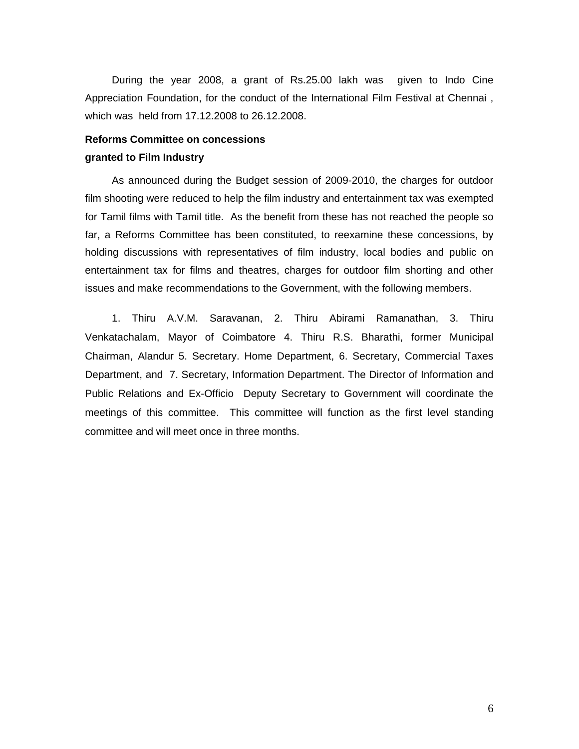During the year 2008, a grant of Rs.25.00 lakh was given to Indo Cine Appreciation Foundation, for the conduct of the International Film Festival at Chennai , which was held from 17.12.2008 to 26.12.2008.

## **Reforms Committee on concessions granted to Film Industry**

As announced during the Budget session of 2009-2010, the charges for outdoor film shooting were reduced to help the film industry and entertainment tax was exempted for Tamil films with Tamil title. As the benefit from these has not reached the people so far, a Reforms Committee has been constituted, to reexamine these concessions, by holding discussions with representatives of film industry, local bodies and public on entertainment tax for films and theatres, charges for outdoor film shorting and other issues and make recommendations to the Government, with the following members.

1. Thiru A.V.M. Saravanan, 2. Thiru Abirami Ramanathan, 3. Thiru Venkatachalam, Mayor of Coimbatore 4. Thiru R.S. Bharathi, former Municipal Chairman, Alandur 5. Secretary. Home Department, 6. Secretary, Commercial Taxes Department, and 7. Secretary, Information Department. The Director of Information and Public Relations and Ex-Officio Deputy Secretary to Government will coordinate the meetings of this committee. This committee will function as the first level standing committee and will meet once in three months.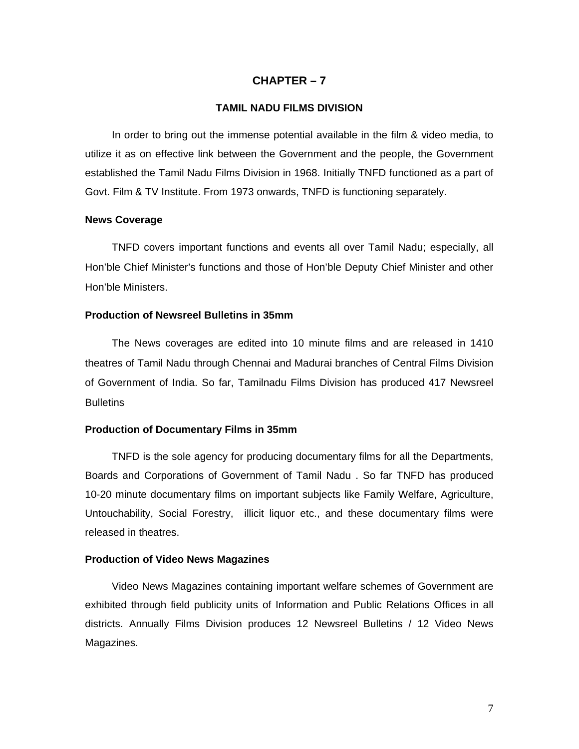## **CHAPTER – 7**

#### **TAMIL NADU FILMS DIVISION**

In order to bring out the immense potential available in the film & video media, to utilize it as on effective link between the Government and the people, the Government established the Tamil Nadu Films Division in 1968. Initially TNFD functioned as a part of Govt. Film & TV Institute. From 1973 onwards, TNFD is functioning separately.

#### **News Coverage**

TNFD covers important functions and events all over Tamil Nadu; especially, all Hon'ble Chief Minister's functions and those of Hon'ble Deputy Chief Minister and other Hon'ble Ministers.

#### **Production of Newsreel Bulletins in 35mm**

The News coverages are edited into 10 minute films and are released in 1410 theatres of Tamil Nadu through Chennai and Madurai branches of Central Films Division of Government of India. So far, Tamilnadu Films Division has produced 417 Newsreel **Bulletins** 

#### **Production of Documentary Films in 35mm**

TNFD is the sole agency for producing documentary films for all the Departments, Boards and Corporations of Government of Tamil Nadu . So far TNFD has produced 10-20 minute documentary films on important subjects like Family Welfare, Agriculture, Untouchability, Social Forestry, illicit liquor etc., and these documentary films were released in theatres.

#### **Production of Video News Magazines**

Video News Magazines containing important welfare schemes of Government are exhibited through field publicity units of Information and Public Relations Offices in all districts. Annually Films Division produces 12 Newsreel Bulletins / 12 Video News Magazines.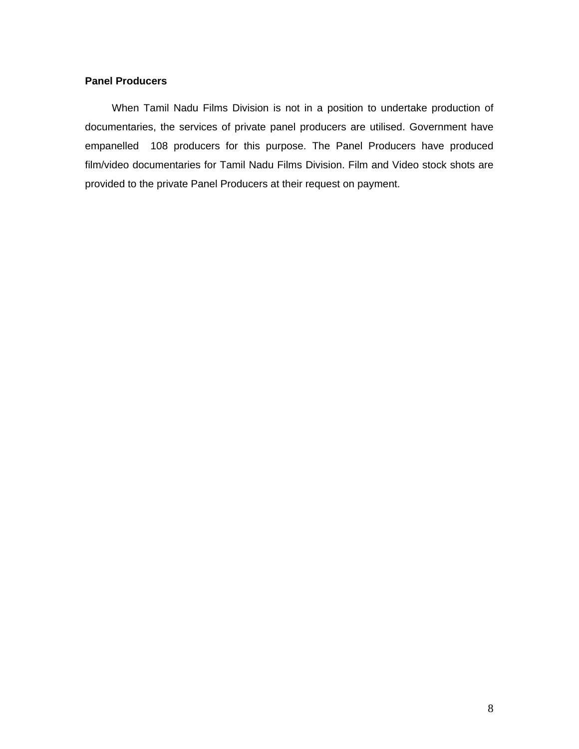## **Panel Producers**

When Tamil Nadu Films Division is not in a position to undertake production of documentaries, the services of private panel producers are utilised. Government have empanelled 108 producers for this purpose. The Panel Producers have produced film/video documentaries for Tamil Nadu Films Division. Film and Video stock shots are provided to the private Panel Producers at their request on payment.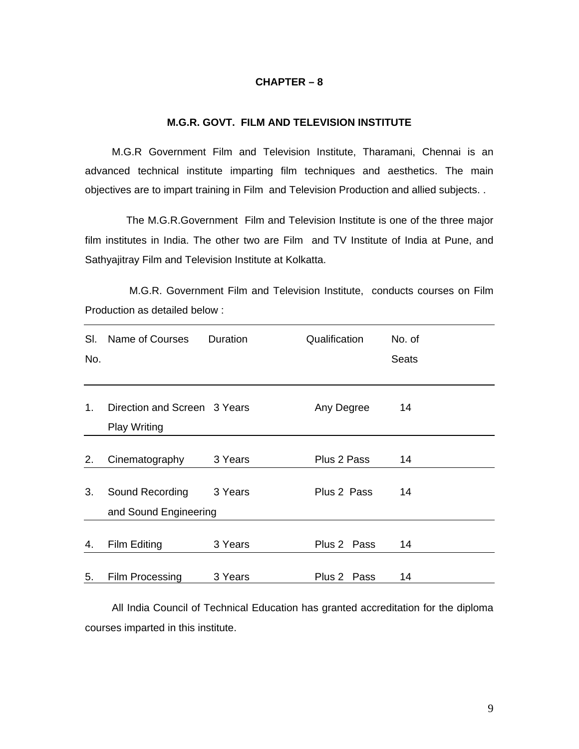#### **CHAPTER – 8**

## **M.G.R. GOVT. FILM AND TELEVISION INSTITUTE**

M.G.R Government Film and Television Institute, Tharamani, Chennai is an advanced technical institute imparting film techniques and aesthetics. The main objectives are to impart training in Film and Television Production and allied subjects. .

 The M.G.R.Government Film and Television Institute is one of the three major film institutes in India. The other two are Film and TV Institute of India at Pune, and Sathyajitray Film and Television Institute at Kolkatta.

 M.G.R. Government Film and Television Institute, conducts courses on Film Production as detailed below :

| SI.<br>No. | Name of Courses                                     | Duration | Qualification  | No. of<br><b>Seats</b> |
|------------|-----------------------------------------------------|----------|----------------|------------------------|
|            |                                                     |          |                |                        |
| $1_{-}$    | Direction and Screen 3 Years<br><b>Play Writing</b> |          | Any Degree     | 14                     |
|            |                                                     |          |                |                        |
| 2.         | Cinematography                                      | 3 Years  | Plus 2 Pass    | 14                     |
| 3.         | Sound Recording                                     | 3 Years  | Plus 2 Pass    | 14                     |
|            | and Sound Engineering                               |          |                |                        |
| 4.         | Film Editing                                        | 3 Years  | Plus 2 Pass    | 14                     |
| 5.         | Film Processing                                     | 3 Years  | Plus 2<br>Pass | 14                     |

All India Council of Technical Education has granted accreditation for the diploma courses imparted in this institute.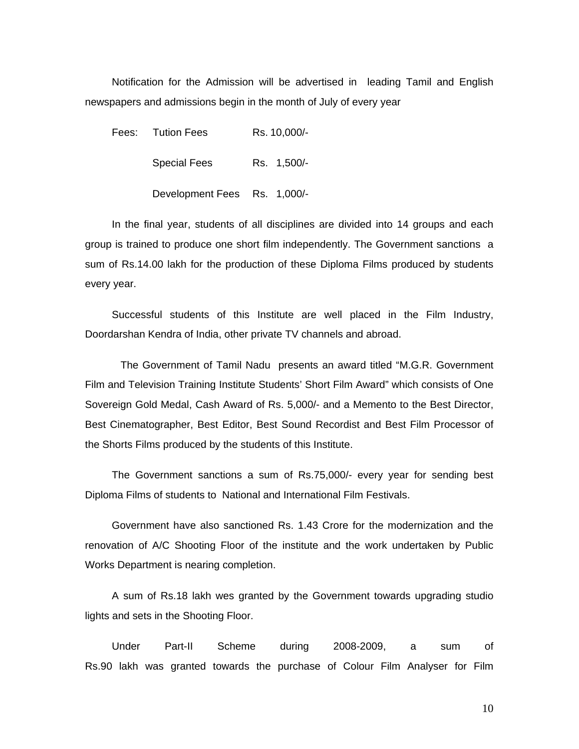Notification for the Admission will be advertised in leading Tamil and English newspapers and admissions begin in the month of July of every year

Fees: Tution Fees Rs. 10,000/-Special Fees Rs. 1,500/-Development Fees Rs. 1,000/-

In the final year, students of all disciplines are divided into 14 groups and each group is trained to produce one short film independently. The Government sanctions a sum of Rs.14.00 lakh for the production of these Diploma Films produced by students every year.

Successful students of this Institute are well placed in the Film Industry, Doordarshan Kendra of India, other private TV channels and abroad.

 The Government of Tamil Nadu presents an award titled "M.G.R. Government Film and Television Training Institute Students' Short Film Award" which consists of One Sovereign Gold Medal, Cash Award of Rs. 5,000/- and a Memento to the Best Director, Best Cinematographer, Best Editor, Best Sound Recordist and Best Film Processor of the Shorts Films produced by the students of this Institute.

The Government sanctions a sum of Rs.75,000/- every year for sending best Diploma Films of students to National and International Film Festivals.

Government have also sanctioned Rs. 1.43 Crore for the modernization and the renovation of A/C Shooting Floor of the institute and the work undertaken by Public Works Department is nearing completion.

A sum of Rs.18 lakh wes granted by the Government towards upgrading studio lights and sets in the Shooting Floor.

Under Part-II Scheme during 2008-2009, a sum of Rs.90 lakh was granted towards the purchase of Colour Film Analyser for Film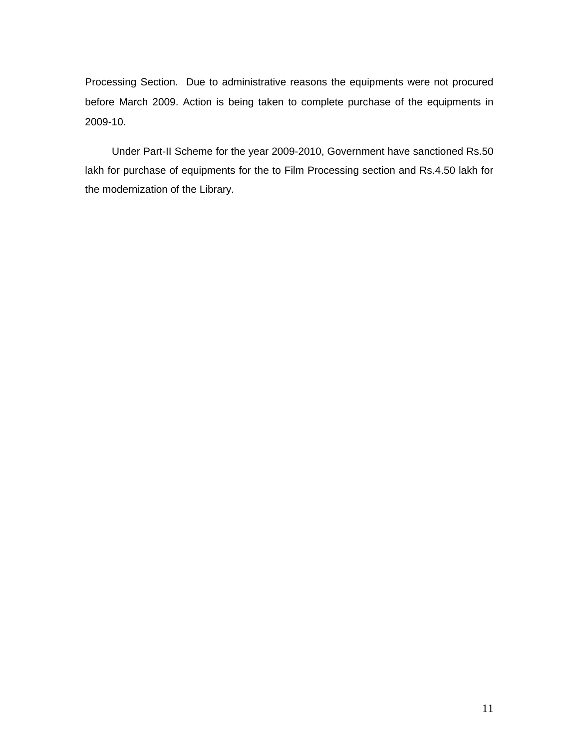Processing Section. Due to administrative reasons the equipments were not procured before March 2009. Action is being taken to complete purchase of the equipments in 2009-10.

Under Part-II Scheme for the year 2009-2010, Government have sanctioned Rs.50 lakh for purchase of equipments for the to Film Processing section and Rs.4.50 lakh for the modernization of the Library.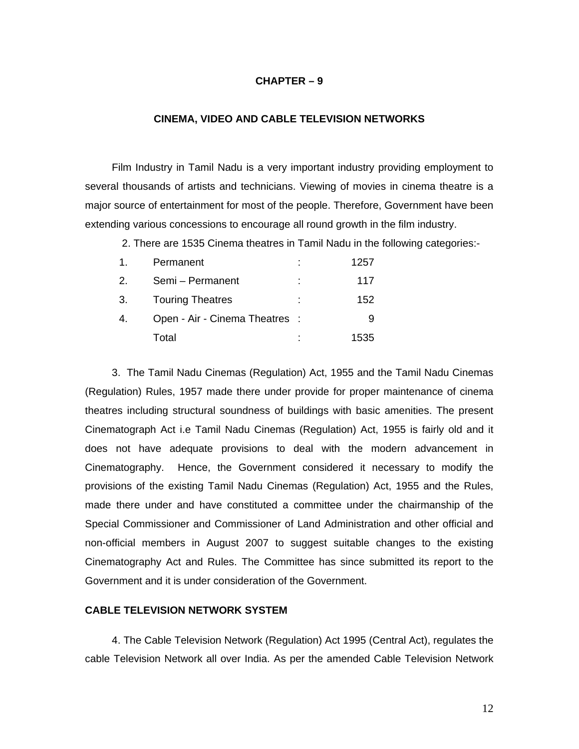#### **CHAPTER – 9**

#### **CINEMA, VIDEO AND CABLE TELEVISION NETWORKS**

Film Industry in Tamil Nadu is a very important industry providing employment to several thousands of artists and technicians. Viewing of movies in cinema theatre is a major source of entertainment for most of the people. Therefore, Government have been extending various concessions to encourage all round growth in the film industry.

2. There are 1535 Cinema theatres in Tamil Nadu in the following categories:-

|    | Permanent                      | ٠ | 1257 |
|----|--------------------------------|---|------|
| 2. | Semi - Permanent               | ÷ | 117  |
| 3. | <b>Touring Theatres</b>        | ÷ | 152  |
| 4. | Open - Air - Cinema Theatres : |   |      |
|    | Total                          | ÷ | 1535 |

3. The Tamil Nadu Cinemas (Regulation) Act, 1955 and the Tamil Nadu Cinemas (Regulation) Rules, 1957 made there under provide for proper maintenance of cinema theatres including structural soundness of buildings with basic amenities. The present Cinematograph Act i.e Tamil Nadu Cinemas (Regulation) Act, 1955 is fairly old and it does not have adequate provisions to deal with the modern advancement in Cinematography. Hence, the Government considered it necessary to modify the provisions of the existing Tamil Nadu Cinemas (Regulation) Act, 1955 and the Rules, made there under and have constituted a committee under the chairmanship of the Special Commissioner and Commissioner of Land Administration and other official and non-official members in August 2007 to suggest suitable changes to the existing Cinematography Act and Rules. The Committee has since submitted its report to the Government and it is under consideration of the Government.

#### **CABLE TELEVISION NETWORK SYSTEM**

4. The Cable Television Network (Regulation) Act 1995 (Central Act), regulates the cable Television Network all over India. As per the amended Cable Television Network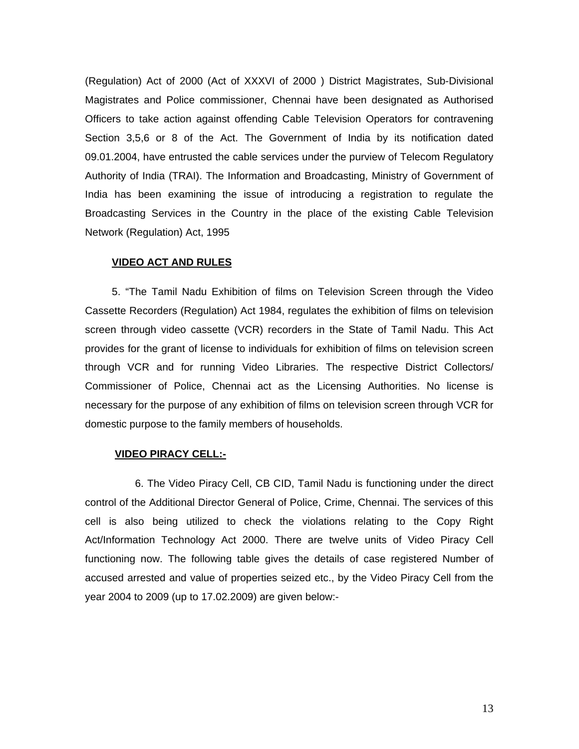(Regulation) Act of 2000 (Act of XXXVI of 2000 ) District Magistrates, Sub-Divisional Magistrates and Police commissioner, Chennai have been designated as Authorised Officers to take action against offending Cable Television Operators for contravening Section 3,5,6 or 8 of the Act. The Government of India by its notification dated 09.01.2004, have entrusted the cable services under the purview of Telecom Regulatory Authority of India (TRAI). The Information and Broadcasting, Ministry of Government of India has been examining the issue of introducing a registration to regulate the Broadcasting Services in the Country in the place of the existing Cable Television Network (Regulation) Act, 1995

#### **VIDEO ACT AND RULES**

5. "The Tamil Nadu Exhibition of films on Television Screen through the Video Cassette Recorders (Regulation) Act 1984, regulates the exhibition of films on television screen through video cassette (VCR) recorders in the State of Tamil Nadu. This Act provides for the grant of license to individuals for exhibition of films on television screen through VCR and for running Video Libraries. The respective District Collectors/ Commissioner of Police, Chennai act as the Licensing Authorities. No license is necessary for the purpose of any exhibition of films on television screen through VCR for domestic purpose to the family members of households.

#### **VIDEO PIRACY CELL:-**

 6. The Video Piracy Cell, CB CID, Tamil Nadu is functioning under the direct control of the Additional Director General of Police, Crime, Chennai. The services of this cell is also being utilized to check the violations relating to the Copy Right Act/Information Technology Act 2000. There are twelve units of Video Piracy Cell functioning now. The following table gives the details of case registered Number of accused arrested and value of properties seized etc., by the Video Piracy Cell from the year 2004 to 2009 (up to 17.02.2009) are given below:-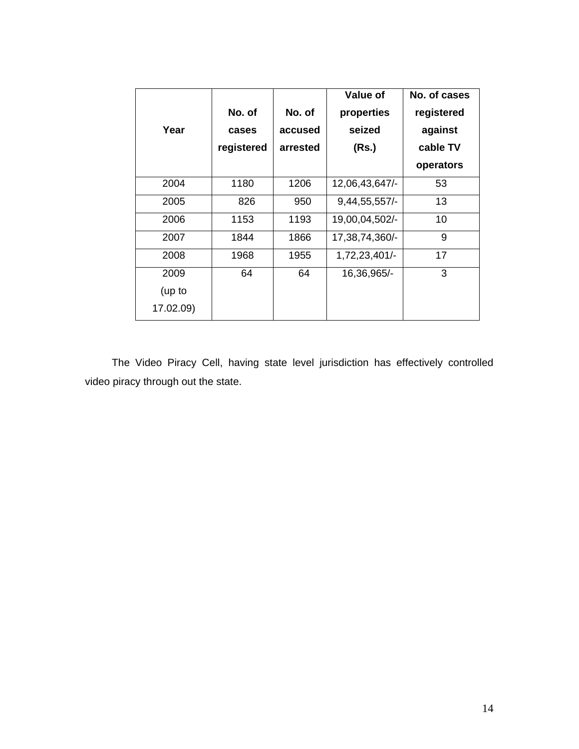|           |            |          | Value of         | No. of cases |
|-----------|------------|----------|------------------|--------------|
|           | No. of     | No. of   | properties       | registered   |
| Year      | cases      | accused  | seized           | against      |
|           | registered | arrested | (Rs.)            | cable TV     |
|           |            |          |                  | operators    |
| 2004      | 1180       | 1206     | 12,06,43,647/-   | 53           |
| 2005      | 826        | 950      | $9,44,55,557/$ - | 13           |
| 2006      | 1153       | 1193     | 19,00,04,502/-   | 10           |
| 2007      | 1844       | 1866     | 17,38,74,360/-   | 9            |
| 2008      | 1968       | 1955     | 1,72,23,401/-    | 17           |
| 2009      | 64         | 64       | 16,36,965/-      | 3            |
| (up to    |            |          |                  |              |
| 17.02.09) |            |          |                  |              |

The Video Piracy Cell, having state level jurisdiction has effectively controlled video piracy through out the state.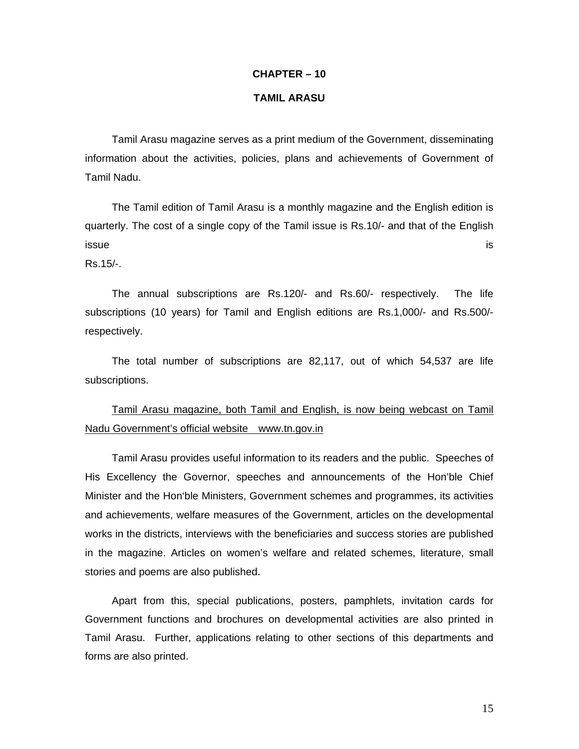#### **CHAPTER – 10**

#### **TAMIL ARASU**

Tamil Arasu magazine serves as a print medium of the Government, disseminating information about the activities, policies, plans and achievements of Government of Tamil Nadu.

The Tamil edition of Tamil Arasu is a monthly magazine and the English edition is quarterly. The cost of a single copy of the Tamil issue is Rs.10/- and that of the English issue de la contradiction de la contradiction de la contradiction de la contradiction de la contradiction de l

Rs.15/-.

The annual subscriptions are Rs.120/- and Rs.60/- respectively. The life subscriptions (10 years) for Tamil and English editions are Rs.1,000/- and Rs.500/ respectively.

The total number of subscriptions are 82,117, out of which 54,537 are life subscriptions.

## Tamil Arasu magazine, both Tamil and English, is now being webcast on Tamil Nadu Government's official website www.tn.gov.in

Tamil Arasu provides useful information to its readers and the public. Speeches of His Excellency the Governor, speeches and announcements of the Hon'ble Chief Minister and the Hon'ble Ministers, Government schemes and programmes, its activities and achievements, welfare measures of the Government, articles on the developmental works in the districts, interviews with the beneficiaries and success stories are published in the magazine. Articles on women's welfare and related schemes, literature, small stories and poems are also published.

Apart from this, special publications, posters, pamphlets, invitation cards for Government functions and brochures on developmental activities are also printed in Tamil Arasu. Further, applications relating to other sections of this departments and forms are also printed.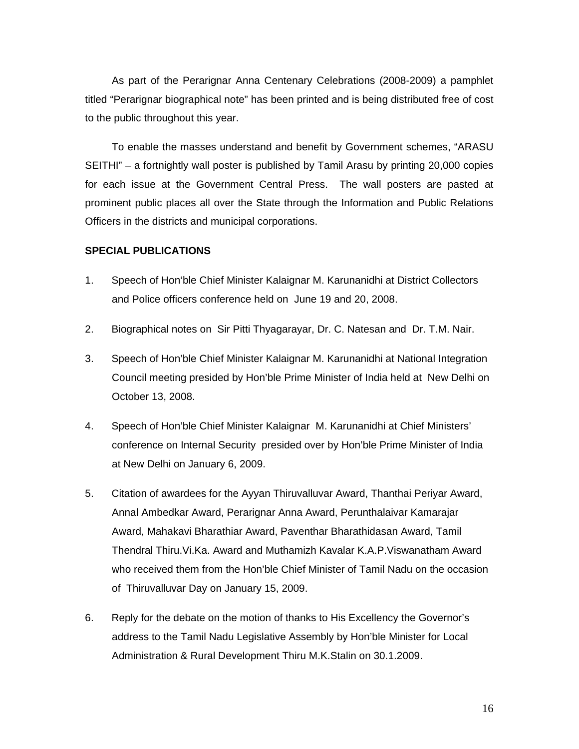As part of the Perarignar Anna Centenary Celebrations (2008-2009) a pamphlet titled "Perarignar biographical note" has been printed and is being distributed free of cost to the public throughout this year.

To enable the masses understand and benefit by Government schemes, "ARASU SEITHI" – a fortnightly wall poster is published by Tamil Arasu by printing 20,000 copies for each issue at the Government Central Press. The wall posters are pasted at prominent public places all over the State through the Information and Public Relations Officers in the districts and municipal corporations.

## **SPECIAL PUBLICATIONS**

- 1. Speech of Hon'ble Chief Minister Kalaignar M. Karunanidhi at District Collectors and Police officers conference held on June 19 and 20, 2008.
- 2. Biographical notes on Sir Pitti Thyagarayar, Dr. C. Natesan and Dr. T.M. Nair.
- 3. Speech of Hon'ble Chief Minister Kalaignar M. Karunanidhi at National Integration Council meeting presided by Hon'ble Prime Minister of India held at New Delhi on October 13, 2008.
- 4. Speech of Hon'ble Chief Minister Kalaignar M. Karunanidhi at Chief Ministers' conference on Internal Security presided over by Hon'ble Prime Minister of India at New Delhi on January 6, 2009.
- 5. Citation of awardees for the Ayyan Thiruvalluvar Award, Thanthai Periyar Award, Annal Ambedkar Award, Perarignar Anna Award, Perunthalaivar Kamarajar Award, Mahakavi Bharathiar Award, Paventhar Bharathidasan Award, Tamil Thendral Thiru.Vi.Ka. Award and Muthamizh Kavalar K.A.P.Viswanatham Award who received them from the Hon'ble Chief Minister of Tamil Nadu on the occasion of Thiruvalluvar Day on January 15, 2009.
- 6. Reply for the debate on the motion of thanks to His Excellency the Governor's address to the Tamil Nadu Legislative Assembly by Hon'ble Minister for Local Administration & Rural Development Thiru M.K.Stalin on 30.1.2009.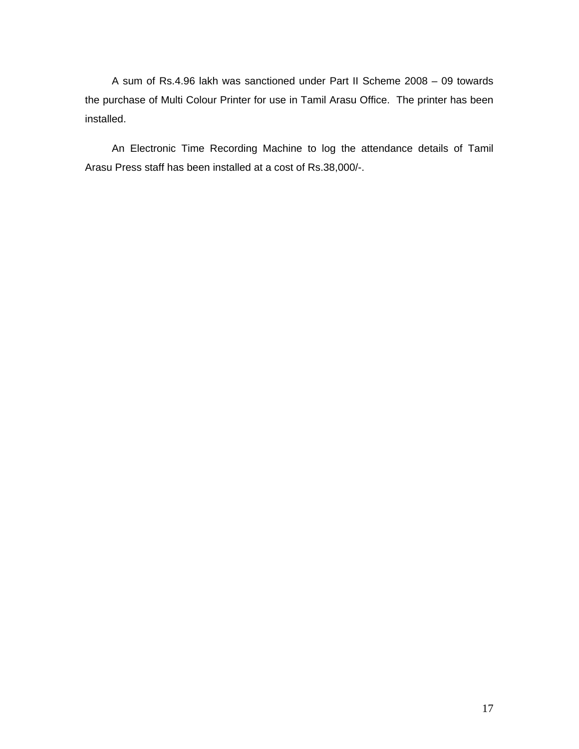A sum of Rs.4.96 lakh was sanctioned under Part II Scheme 2008 – 09 towards the purchase of Multi Colour Printer for use in Tamil Arasu Office. The printer has been installed.

An Electronic Time Recording Machine to log the attendance details of Tamil Arasu Press staff has been installed at a cost of Rs.38,000/-.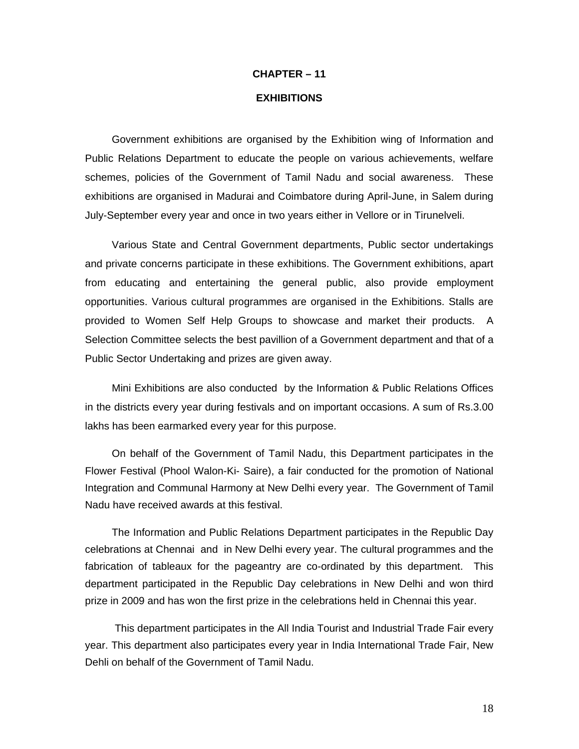# **CHAPTER – 11 EXHIBITIONS**

Government exhibitions are organised by the Exhibition wing of Information and Public Relations Department to educate the people on various achievements, welfare schemes, policies of the Government of Tamil Nadu and social awareness. These exhibitions are organised in Madurai and Coimbatore during April-June, in Salem during July-September every year and once in two years either in Vellore or in Tirunelveli.

Various State and Central Government departments, Public sector undertakings and private concerns participate in these exhibitions. The Government exhibitions, apart from educating and entertaining the general public, also provide employment opportunities. Various cultural programmes are organised in the Exhibitions. Stalls are provided to Women Self Help Groups to showcase and market their products. A Selection Committee selects the best pavillion of a Government department and that of a Public Sector Undertaking and prizes are given away.

Mini Exhibitions are also conducted by the Information & Public Relations Offices in the districts every year during festivals and on important occasions. A sum of Rs.3.00 lakhs has been earmarked every year for this purpose.

On behalf of the Government of Tamil Nadu, this Department participates in the Flower Festival (Phool Walon-Ki- Saire), a fair conducted for the promotion of National Integration and Communal Harmony at New Delhi every year. The Government of Tamil Nadu have received awards at this festival.

The Information and Public Relations Department participates in the Republic Day celebrations at Chennai and in New Delhi every year. The cultural programmes and the fabrication of tableaux for the pageantry are co-ordinated by this department. This department participated in the Republic Day celebrations in New Delhi and won third prize in 2009 and has won the first prize in the celebrations held in Chennai this year.

 This department participates in the All India Tourist and Industrial Trade Fair every year. This department also participates every year in India International Trade Fair, New Dehli on behalf of the Government of Tamil Nadu.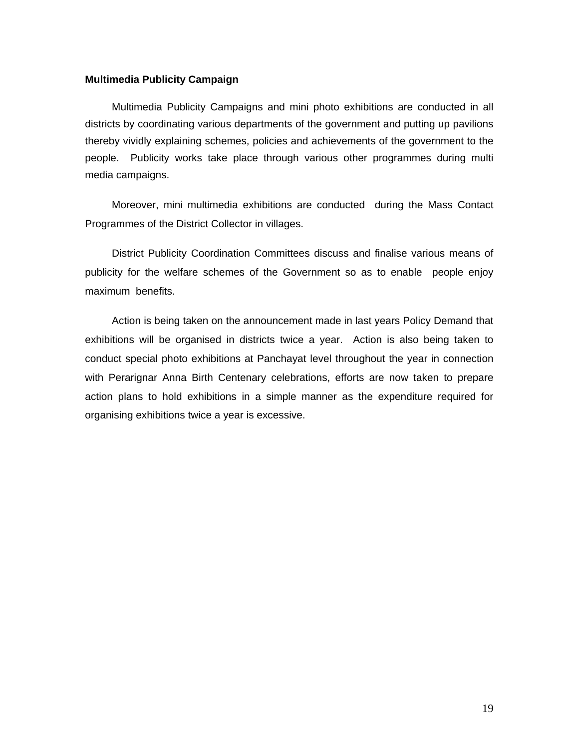#### **Multimedia Publicity Campaign**

Multimedia Publicity Campaigns and mini photo exhibitions are conducted in all districts by coordinating various departments of the government and putting up pavilions thereby vividly explaining schemes, policies and achievements of the government to the people. Publicity works take place through various other programmes during multi media campaigns.

Moreover, mini multimedia exhibitions are conducted during the Mass Contact Programmes of the District Collector in villages.

District Publicity Coordination Committees discuss and finalise various means of publicity for the welfare schemes of the Government so as to enable people enjoy maximum benefits.

Action is being taken on the announcement made in last years Policy Demand that exhibitions will be organised in districts twice a year. Action is also being taken to conduct special photo exhibitions at Panchayat level throughout the year in connection with Perarignar Anna Birth Centenary celebrations, efforts are now taken to prepare action plans to hold exhibitions in a simple manner as the expenditure required for organising exhibitions twice a year is excessive.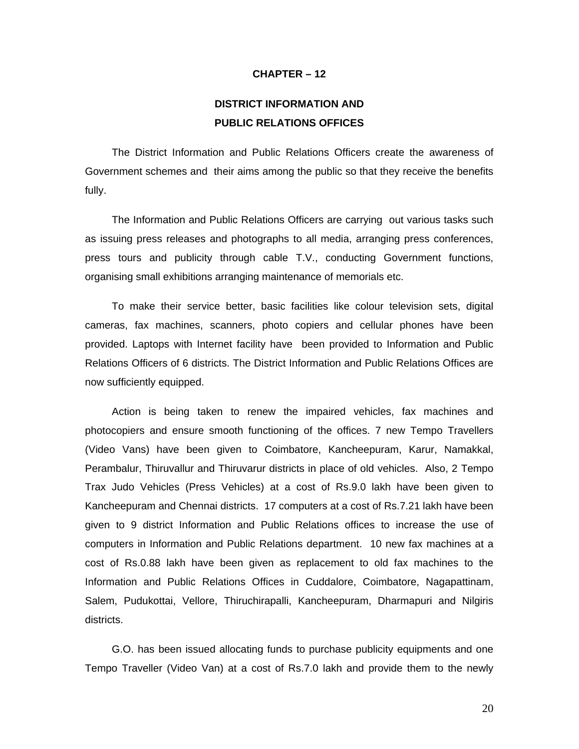#### **CHAPTER – 12**

## **DISTRICT INFORMATION AND PUBLIC RELATIONS OFFICES**

The District Information and Public Relations Officers create the awareness of Government schemes and their aims among the public so that they receive the benefits fully.

The Information and Public Relations Officers are carrying out various tasks such as issuing press releases and photographs to all media, arranging press conferences, press tours and publicity through cable T.V., conducting Government functions, organising small exhibitions arranging maintenance of memorials etc.

To make their service better, basic facilities like colour television sets, digital cameras, fax machines, scanners, photo copiers and cellular phones have been provided. Laptops with Internet facility have been provided to Information and Public Relations Officers of 6 districts. The District Information and Public Relations Offices are now sufficiently equipped.

Action is being taken to renew the impaired vehicles, fax machines and photocopiers and ensure smooth functioning of the offices. 7 new Tempo Travellers (Video Vans) have been given to Coimbatore, Kancheepuram, Karur, Namakkal, Perambalur, Thiruvallur and Thiruvarur districts in place of old vehicles. Also, 2 Tempo Trax Judo Vehicles (Press Vehicles) at a cost of Rs.9.0 lakh have been given to Kancheepuram and Chennai districts. 17 computers at a cost of Rs.7.21 lakh have been given to 9 district Information and Public Relations offices to increase the use of computers in Information and Public Relations department. 10 new fax machines at a cost of Rs.0.88 lakh have been given as replacement to old fax machines to the Information and Public Relations Offices in Cuddalore, Coimbatore, Nagapattinam, Salem, Pudukottai, Vellore, Thiruchirapalli, Kancheepuram, Dharmapuri and Nilgiris districts.

G.O. has been issued allocating funds to purchase publicity equipments and one Tempo Traveller (Video Van) at a cost of Rs.7.0 lakh and provide them to the newly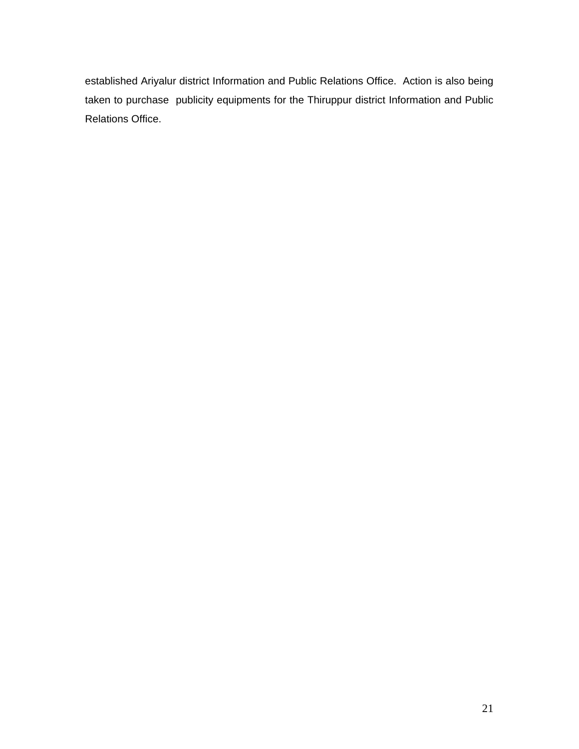established Ariyalur district Information and Public Relations Office. Action is also being taken to purchase publicity equipments for the Thiruppur district Information and Public Relations Office.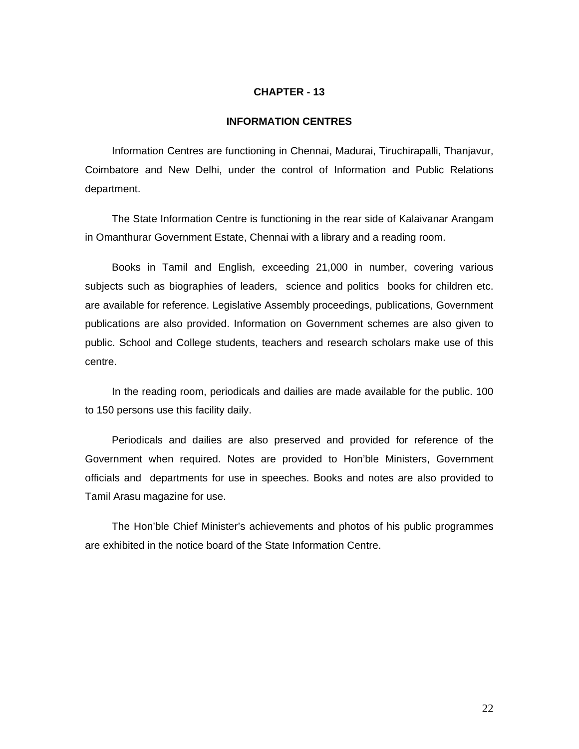#### **CHAPTER - 13**

## **INFORMATION CENTRES**

Information Centres are functioning in Chennai, Madurai, Tiruchirapalli, Thanjavur, Coimbatore and New Delhi, under the control of Information and Public Relations department.

The State Information Centre is functioning in the rear side of Kalaivanar Arangam in Omanthurar Government Estate, Chennai with a library and a reading room.

Books in Tamil and English, exceeding 21,000 in number, covering various subjects such as biographies of leaders, science and politics books for children etc. are available for reference. Legislative Assembly proceedings, publications, Government publications are also provided. Information on Government schemes are also given to public. School and College students, teachers and research scholars make use of this centre.

In the reading room, periodicals and dailies are made available for the public. 100 to 150 persons use this facility daily.

Periodicals and dailies are also preserved and provided for reference of the Government when required. Notes are provided to Hon'ble Ministers, Government officials and departments for use in speeches. Books and notes are also provided to Tamil Arasu magazine for use.

The Hon'ble Chief Minister's achievements and photos of his public programmes are exhibited in the notice board of the State Information Centre.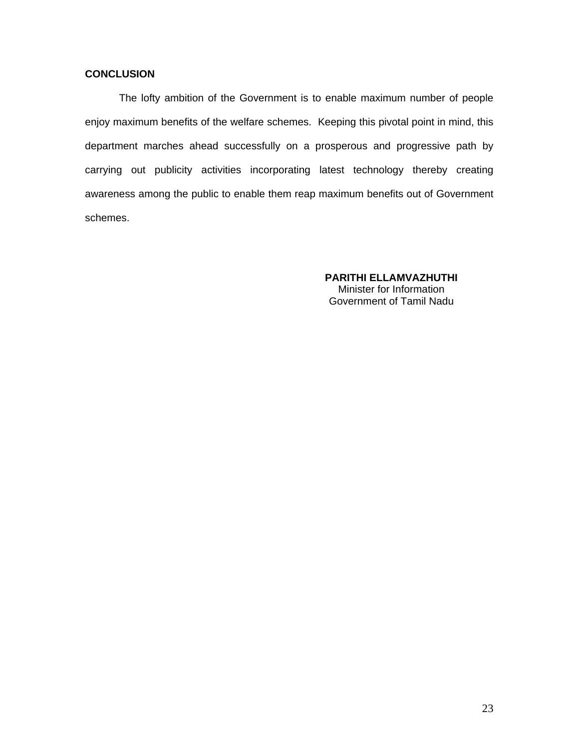## **CONCLUSION**

 The lofty ambition of the Government is to enable maximum number of people enjoy maximum benefits of the welfare schemes. Keeping this pivotal point in mind, this department marches ahead successfully on a prosperous and progressive path by carrying out publicity activities incorporating latest technology thereby creating awareness among the public to enable them reap maximum benefits out of Government schemes.

> **PARITHI ELLAMVAZHUTHI** Minister for Information Government of Tamil Nadu